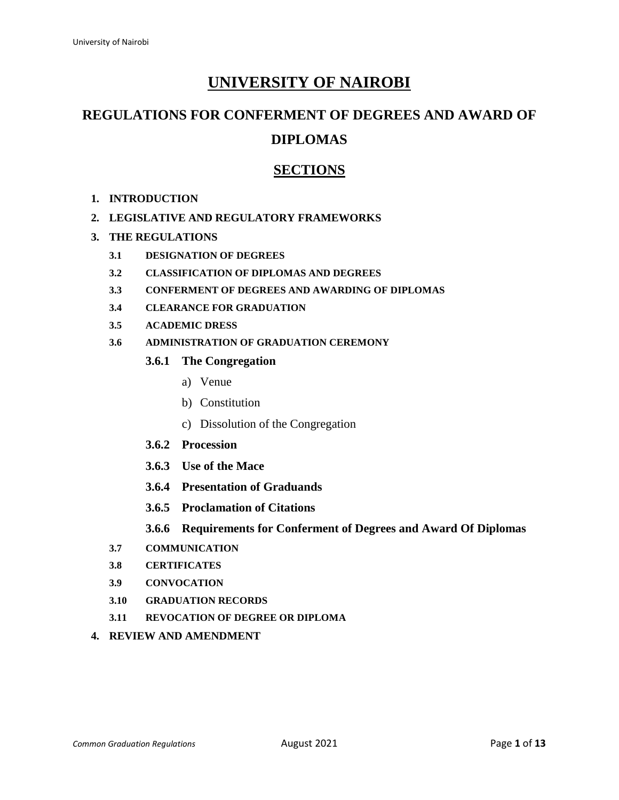# **UNIVERSITY OF NAIROBI**

# **REGULATIONS FOR CONFERMENT OF DEGREES AND AWARD OF**

# **DIPLOMAS**

# **SECTIONS**

**1. INTRODUCTION**

#### **2. LEGISLATIVE AND REGULATORY FRAMEWORKS**

- **3. THE REGULATIONS**
	- **3.1 DESIGNATION OF DEGREES**
	- **3.2 CLASSIFICATION OF DIPLOMAS AND DEGREES**
	- **3.3 CONFERMENT OF DEGREES AND AWARDING OF DIPLOMAS**
	- **3.4 CLEARANCE FOR GRADUATION**
	- **3.5 ACADEMIC DRESS**
	- **3.6 ADMINISTRATION OF GRADUATION CEREMONY**
		- **3.6.1 The Congregation** 
			- a) Venue
			- b) Constitution
			- c) Dissolution of the Congregation
		- **3.6.2 Procession**
		- **3.6.3 Use of the Mace**
		- **3.6.4 Presentation of Graduands**
		- **3.6.5 Proclamation of Citations**
		- **3.6.6 Requirements for Conferment of Degrees and Award Of Diplomas**
	- **3.7 COMMUNICATION**
	- **3.8 CERTIFICATES**
	- **3.9 CONVOCATION**
	- **3.10 GRADUATION RECORDS**
	- **3.11 REVOCATION OF DEGREE OR DIPLOMA**
- **4. REVIEW AND AMENDMENT**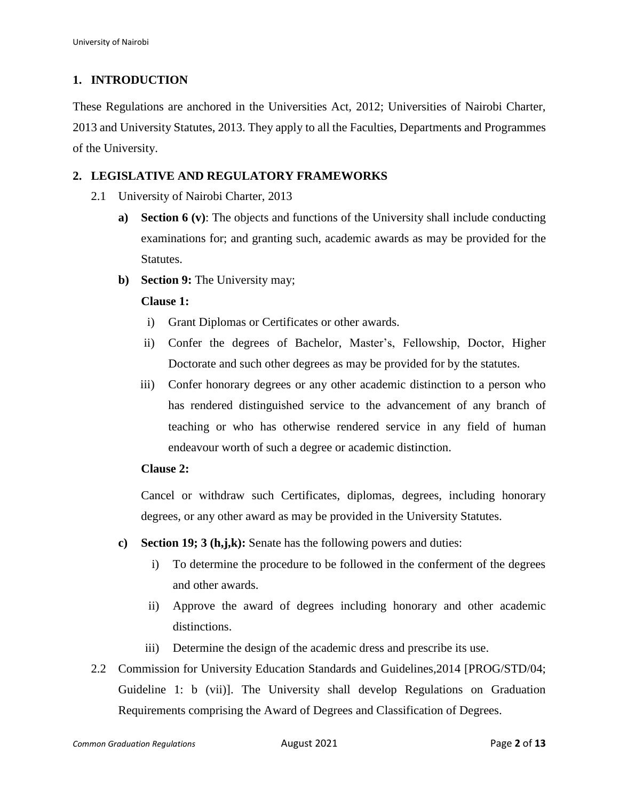# **1. INTRODUCTION**

These Regulations are anchored in the Universities Act, 2012; Universities of Nairobi Charter, 2013 and University Statutes, 2013. They apply to all the Faculties, Departments and Programmes of the University.

## **2. LEGISLATIVE AND REGULATORY FRAMEWORKS**

- 2.1 University of Nairobi Charter, 2013
	- **a) Section 6 (v)**: The objects and functions of the University shall include conducting examinations for; and granting such, academic awards as may be provided for the Statutes.
	- **b**) **Section 9:** The University may;

#### **Clause 1:**

- i) Grant Diplomas or Certificates or other awards.
- ii) Confer the degrees of Bachelor, Master's, Fellowship, Doctor, Higher Doctorate and such other degrees as may be provided for by the statutes.
- iii) Confer honorary degrees or any other academic distinction to a person who has rendered distinguished service to the advancement of any branch of teaching or who has otherwise rendered service in any field of human endeavour worth of such a degree or academic distinction.

#### **Clause 2:**

Cancel or withdraw such Certificates, diplomas, degrees, including honorary degrees, or any other award as may be provided in the University Statutes.

- **c) Section 19; 3 (h,j,k):** Senate has the following powers and duties:
	- i) To determine the procedure to be followed in the conferment of the degrees and other awards.
	- ii) Approve the award of degrees including honorary and other academic distinctions.
	- iii) Determine the design of the academic dress and prescribe its use.
- 2.2 Commission for University Education Standards and Guidelines,2014 [PROG/STD/04; Guideline 1: b (vii)]. The University shall develop Regulations on Graduation Requirements comprising the Award of Degrees and Classification of Degrees.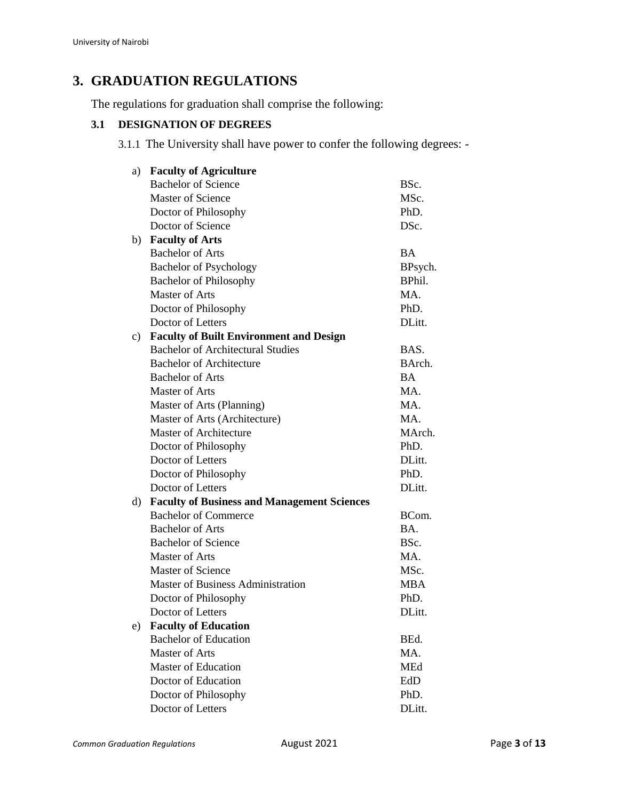# **3. GRADUATION REGULATIONS**

The regulations for graduation shall comprise the following:

# **3.1 DESIGNATION OF DEGREES**

3.1.1 The University shall have power to confer the following degrees: -

| a) | <b>Faculty of Agriculture</b>                      |            |  |
|----|----------------------------------------------------|------------|--|
|    | <b>Bachelor of Science</b>                         | BSc.       |  |
|    | <b>Master of Science</b>                           | MSc.       |  |
|    | Doctor of Philosophy                               | PhD.       |  |
|    | Doctor of Science                                  | DSc.       |  |
| b) | <b>Faculty of Arts</b>                             |            |  |
|    | <b>Bachelor of Arts</b>                            | <b>BA</b>  |  |
|    | <b>Bachelor of Psychology</b>                      | BPsych.    |  |
|    | <b>Bachelor of Philosophy</b>                      | BPhil.     |  |
|    | Master of Arts                                     | MA.        |  |
|    | Doctor of Philosophy                               | PhD.       |  |
|    | Doctor of Letters                                  | DLitt.     |  |
| c) | <b>Faculty of Built Environment and Design</b>     |            |  |
|    | <b>Bachelor of Architectural Studies</b>           | BAS.       |  |
|    | <b>Bachelor of Architecture</b>                    | BArch.     |  |
|    | <b>Bachelor of Arts</b>                            | <b>BA</b>  |  |
|    | <b>Master of Arts</b>                              | MA.        |  |
|    | Master of Arts (Planning)                          | MA.        |  |
|    | Master of Arts (Architecture)                      | MA.        |  |
|    | Master of Architecture                             | MArch.     |  |
|    | Doctor of Philosophy                               | PhD.       |  |
|    | Doctor of Letters                                  | DLitt.     |  |
|    | Doctor of Philosophy                               | PhD.       |  |
|    | Doctor of Letters                                  | DLitt.     |  |
| d) | <b>Faculty of Business and Management Sciences</b> |            |  |
|    | <b>Bachelor of Commerce</b>                        | BCom.      |  |
|    | <b>Bachelor of Arts</b>                            | BA.        |  |
|    | <b>Bachelor of Science</b>                         | BSc.       |  |
|    | <b>Master of Arts</b>                              | MA.        |  |
|    | <b>Master of Science</b>                           | MSc.       |  |
|    | <b>Master of Business Administration</b>           | <b>MBA</b> |  |
|    | Doctor of Philosophy                               | PhD.       |  |
|    | Doctor of Letters                                  | DLitt.     |  |
| e) | <b>Faculty of Education</b>                        |            |  |
|    | <b>Bachelor of Education</b>                       | BEd.       |  |
|    | <b>Master of Arts</b>                              | MA.        |  |
|    | <b>Master of Education</b>                         | <b>MEd</b> |  |
|    | Doctor of Education                                | EdD        |  |
|    | Doctor of Philosophy                               | PhD.       |  |
|    | Doctor of Letters                                  | DLitt.     |  |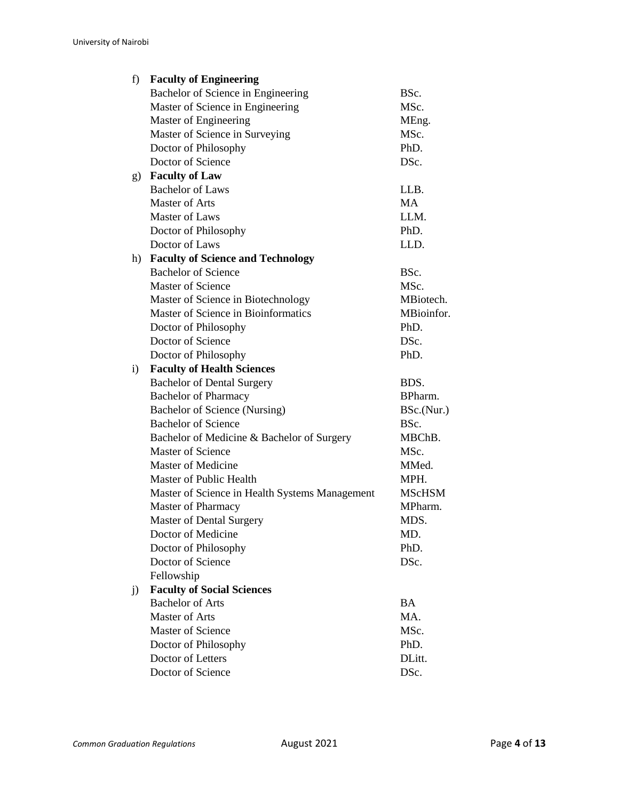| f)           | <b>Faculty of Engineering</b>                  |               |
|--------------|------------------------------------------------|---------------|
|              | Bachelor of Science in Engineering             | BSc.          |
|              | Master of Science in Engineering               | MSc.          |
|              | Master of Engineering                          | MEng.         |
|              | Master of Science in Surveying                 | MSc.          |
|              | Doctor of Philosophy                           | PhD.          |
|              | Doctor of Science                              | DSc.          |
| g)           | <b>Faculty of Law</b>                          |               |
|              | <b>Bachelor of Laws</b>                        | LLB.          |
|              | <b>Master of Arts</b>                          | <b>MA</b>     |
|              | Master of Laws                                 | LLM.          |
|              | Doctor of Philosophy                           | PhD.          |
|              | Doctor of Laws                                 | LLD.          |
| h)           | <b>Faculty of Science and Technology</b>       |               |
|              | <b>Bachelor of Science</b>                     | BSc.          |
|              | <b>Master of Science</b>                       | MSc.          |
|              | Master of Science in Biotechnology             | MBiotech.     |
|              | Master of Science in Bioinformatics            | MBioinfor.    |
|              | Doctor of Philosophy                           | PhD.          |
|              | Doctor of Science                              | DSc.          |
|              | Doctor of Philosophy                           | PhD.          |
| $\mathbf{i}$ | <b>Faculty of Health Sciences</b>              |               |
|              | <b>Bachelor of Dental Surgery</b>              | BDS.          |
|              | <b>Bachelor of Pharmacy</b>                    | BPharm.       |
|              | <b>Bachelor of Science (Nursing)</b>           | BSc.(Nur.)    |
|              | <b>Bachelor of Science</b>                     | BSc.          |
|              | Bachelor of Medicine & Bachelor of Surgery     | MBChB.        |
|              | Master of Science                              | MSc.          |
|              | <b>Master of Medicine</b>                      | MMed.         |
|              | Master of Public Health                        | MPH.          |
|              | Master of Science in Health Systems Management | <b>MScHSM</b> |
|              | Master of Pharmacy                             | MPharm.       |
|              | <b>Master of Dental Surgery</b>                | <b>MDS</b>    |
|              | Doctor of Medicine                             | MD.           |
|              | Doctor of Philosophy                           | PhD.          |
|              | Doctor of Science                              | DSc.          |
|              | Fellowship                                     |               |
| j)           | <b>Faculty of Social Sciences</b>              |               |
|              | <b>Bachelor of Arts</b>                        | BA            |
|              | <b>Master of Arts</b>                          | MA.           |
|              | <b>Master of Science</b>                       | MSc.          |
|              | Doctor of Philosophy                           | PhD.          |
|              | Doctor of Letters                              | DLitt.        |
|              | Doctor of Science                              | DSc.          |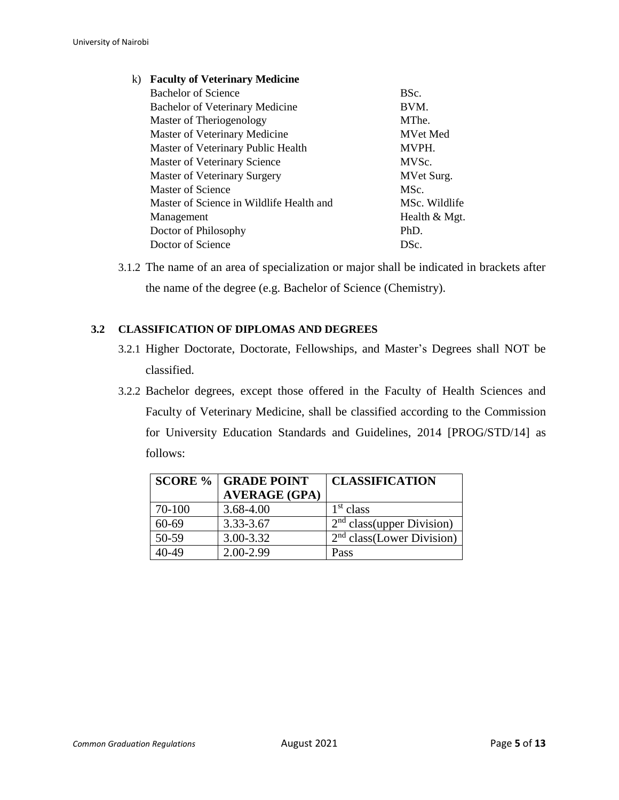| k) | <b>Faculty of Veterinary Medicine</b>    |                 |
|----|------------------------------------------|-----------------|
|    | Bachelor of Science                      | BSc.            |
|    | <b>Bachelor of Veterinary Medicine</b>   | BVM.            |
|    | Master of Theriogenology                 | MThe.           |
|    | Master of Veterinary Medicine            | <b>MVet Med</b> |
|    | Master of Veterinary Public Health       | MVPH.           |
|    | Master of Veterinary Science             | MVSc.           |
|    | <b>Master of Veterinary Surgery</b>      | MVet Surg.      |
|    | Master of Science                        | MSc.            |
|    | Master of Science in Wildlife Health and | MSc. Wildlife   |
|    | Management                               | Health & Mgt.   |
|    | Doctor of Philosophy                     | $PhD$ .         |
|    | Doctor of Science                        | DSc.            |
|    |                                          |                 |

3.1.2 The name of an area of specialization or major shall be indicated in brackets after the name of the degree (e.g. Bachelor of Science (Chemistry).

## **3.2 CLASSIFICATION OF DIPLOMAS AND DEGREES**

- 3.2.1 Higher Doctorate, Doctorate, Fellowships, and Master's Degrees shall NOT be classified.
- 3.2.2 Bachelor degrees, except those offered in the Faculty of Health Sciences and Faculty of Veterinary Medicine, shall be classified according to the Commission for University Education Standards and Guidelines, 2014 [PROG/STD/14] as follows:

|        | <b>SCORE %   GRADE POINT</b> | <b>CLASSIFICATION</b>                  |
|--------|------------------------------|----------------------------------------|
|        | <b>AVERAGE (GPA)</b>         |                                        |
| 70-100 | 3.68-4.00                    | 1 <sup>st</sup> class                  |
| 60-69  | 3.33-3.67                    | 2 <sup>nd</sup> class (upper Division) |
| 50-59  | 3.00-3.32                    | 2 <sup>nd</sup> class (Lower Division) |
| 40-49  | $2.00 - 2.99$                | Pass                                   |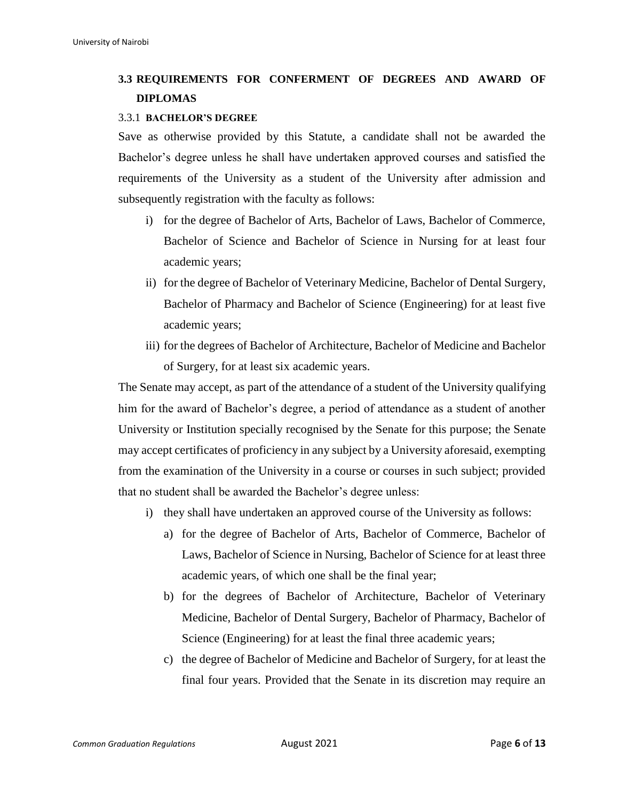# **3.3 REQUIREMENTS FOR CONFERMENT OF DEGREES AND AWARD OF DIPLOMAS**

#### 3.3.1 **BACHELOR'S DEGREE**

Save as otherwise provided by this Statute, a candidate shall not be awarded the Bachelor's degree unless he shall have undertaken approved courses and satisfied the requirements of the University as a student of the University after admission and subsequently registration with the faculty as follows:

- i) for the degree of Bachelor of Arts, Bachelor of Laws, Bachelor of Commerce, Bachelor of Science and Bachelor of Science in Nursing for at least four academic years;
- ii) for the degree of Bachelor of Veterinary Medicine, Bachelor of Dental Surgery, Bachelor of Pharmacy and Bachelor of Science (Engineering) for at least five academic years;
- iii) for the degrees of Bachelor of Architecture, Bachelor of Medicine and Bachelor of Surgery, for at least six academic years.

The Senate may accept, as part of the attendance of a student of the University qualifying him for the award of Bachelor's degree, a period of attendance as a student of another University or Institution specially recognised by the Senate for this purpose; the Senate may accept certificates of proficiency in any subject by a University aforesaid, exempting from the examination of the University in a course or courses in such subject; provided that no student shall be awarded the Bachelor's degree unless:

- i) they shall have undertaken an approved course of the University as follows:
	- a) for the degree of Bachelor of Arts, Bachelor of Commerce, Bachelor of Laws, Bachelor of Science in Nursing, Bachelor of Science for at least three academic years, of which one shall be the final year;
	- b) for the degrees of Bachelor of Architecture, Bachelor of Veterinary Medicine, Bachelor of Dental Surgery, Bachelor of Pharmacy, Bachelor of Science (Engineering) for at least the final three academic years;
	- c) the degree of Bachelor of Medicine and Bachelor of Surgery, for at least the final four years. Provided that the Senate in its discretion may require an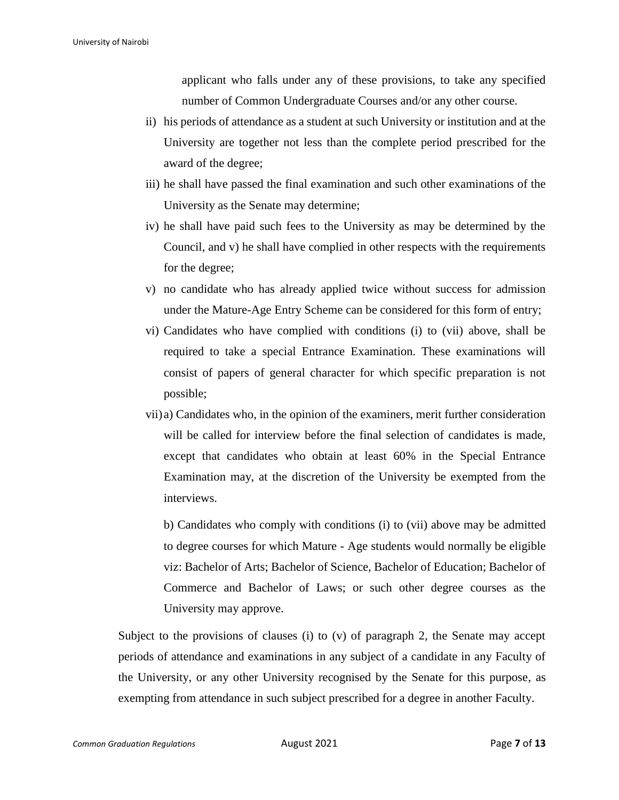applicant who falls under any of these provisions, to take any specified number of Common Undergraduate Courses and/or any other course.

- ii) his periods of attendance as a student at such University or institution and at the University are together not less than the complete period prescribed for the award of the degree;
- iii) he shall have passed the final examination and such other examinations of the University as the Senate may determine;
- iv) he shall have paid such fees to the University as may be determined by the Council, and v) he shall have complied in other respects with the requirements for the degree;
- v) no candidate who has already applied twice without success for admission under the Mature-Age Entry Scheme can be considered for this form of entry;
- vi) Candidates who have complied with conditions (i) to (vii) above, shall be required to take a special Entrance Examination. These examinations will consist of papers of general character for which specific preparation is not possible;
- vii)a) Candidates who, in the opinion of the examiners, merit further consideration will be called for interview before the final selection of candidates is made, except that candidates who obtain at least 60% in the Special Entrance Examination may, at the discretion of the University be exempted from the interviews.

b) Candidates who comply with conditions (i) to (vii) above may be admitted to degree courses for which Mature - Age students would normally be eligible viz: Bachelor of Arts; Bachelor of Science, Bachelor of Education; Bachelor of Commerce and Bachelor of Laws; or such other degree courses as the University may approve.

Subject to the provisions of clauses (i) to (v) of paragraph 2, the Senate may accept periods of attendance and examinations in any subject of a candidate in any Faculty of the University, or any other University recognised by the Senate for this purpose, as exempting from attendance in such subject prescribed for a degree in another Faculty.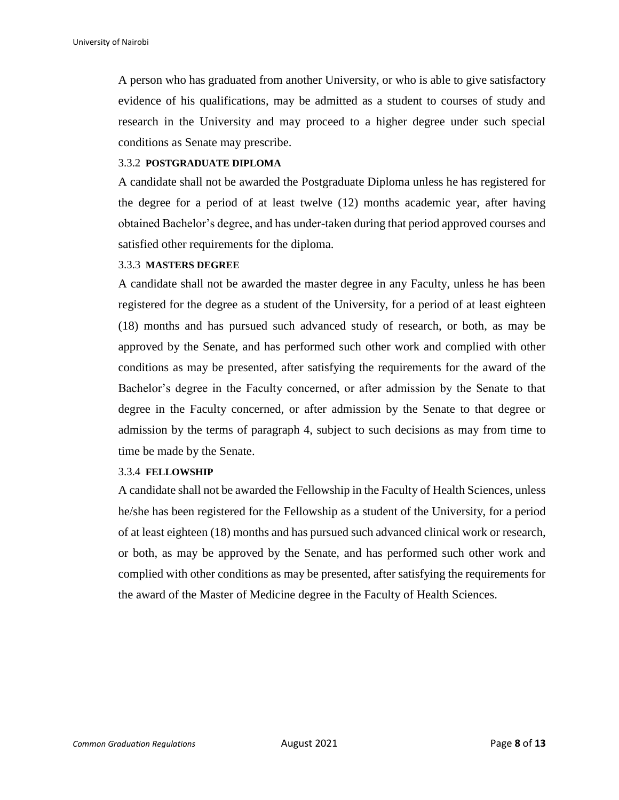A person who has graduated from another University, or who is able to give satisfactory evidence of his qualifications, may be admitted as a student to courses of study and research in the University and may proceed to a higher degree under such special conditions as Senate may prescribe.

#### 3.3.2 **POSTGRADUATE DIPLOMA**

A candidate shall not be awarded the Postgraduate Diploma unless he has registered for the degree for a period of at least twelve (12) months academic year, after having obtained Bachelor's degree, and has under-taken during that period approved courses and satisfied other requirements for the diploma.

#### 3.3.3 **MASTERS DEGREE**

A candidate shall not be awarded the master degree in any Faculty, unless he has been registered for the degree as a student of the University, for a period of at least eighteen (18) months and has pursued such advanced study of research, or both, as may be approved by the Senate, and has performed such other work and complied with other conditions as may be presented, after satisfying the requirements for the award of the Bachelor's degree in the Faculty concerned, or after admission by the Senate to that degree in the Faculty concerned, or after admission by the Senate to that degree or admission by the terms of paragraph 4, subject to such decisions as may from time to time be made by the Senate.

#### 3.3.4 **FELLOWSHIP**

A candidate shall not be awarded the Fellowship in the Faculty of Health Sciences, unless he/she has been registered for the Fellowship as a student of the University, for a period of at least eighteen (18) months and has pursued such advanced clinical work or research, or both, as may be approved by the Senate, and has performed such other work and complied with other conditions as may be presented, after satisfying the requirements for the award of the Master of Medicine degree in the Faculty of Health Sciences.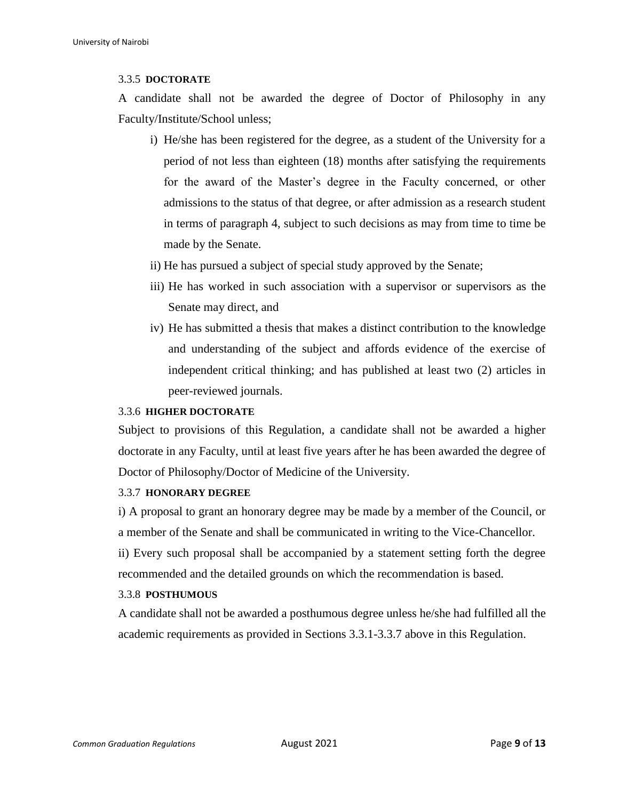#### 3.3.5 **DOCTORATE**

A candidate shall not be awarded the degree of Doctor of Philosophy in any Faculty/Institute/School unless;

- i) He/she has been registered for the degree, as a student of the University for a period of not less than eighteen (18) months after satisfying the requirements for the award of the Master's degree in the Faculty concerned, or other admissions to the status of that degree, or after admission as a research student in terms of paragraph 4, subject to such decisions as may from time to time be made by the Senate.
- ii) He has pursued a subject of special study approved by the Senate;
- iii) He has worked in such association with a supervisor or supervisors as the Senate may direct, and
- iv) He has submitted a thesis that makes a distinct contribution to the knowledge and understanding of the subject and affords evidence of the exercise of independent critical thinking; and has published at least two (2) articles in peer-reviewed journals.

#### 3.3.6 **HIGHER DOCTORATE**

Subject to provisions of this Regulation, a candidate shall not be awarded a higher doctorate in any Faculty, until at least five years after he has been awarded the degree of Doctor of Philosophy/Doctor of Medicine of the University.

## 3.3.7 **HONORARY DEGREE**

i) A proposal to grant an honorary degree may be made by a member of the Council, or a member of the Senate and shall be communicated in writing to the Vice-Chancellor. ii) Every such proposal shall be accompanied by a statement setting forth the degree recommended and the detailed grounds on which the recommendation is based.

## 3.3.8 **POSTHUMOUS**

A candidate shall not be awarded a posthumous degree unless he/she had fulfilled all the academic requirements as provided in Sections 3.3.1-3.3.7 above in this Regulation.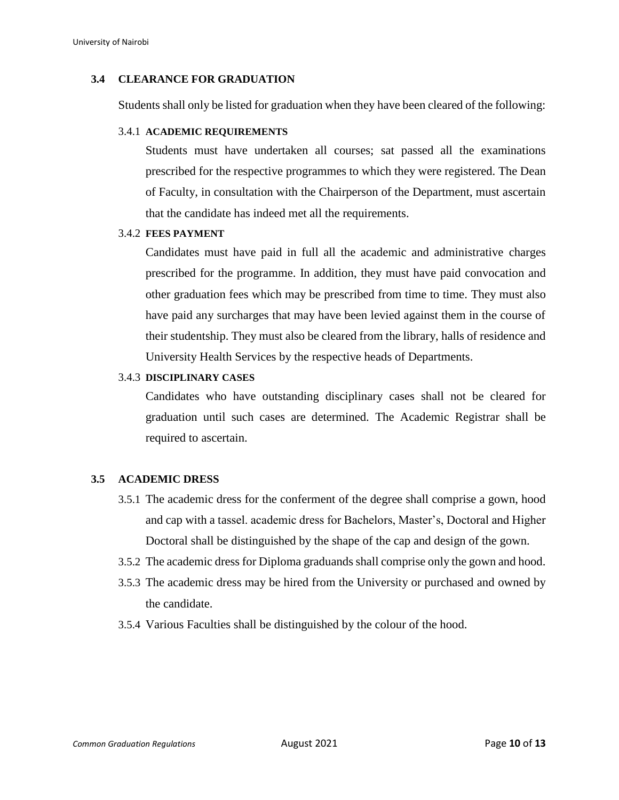#### **3.4 CLEARANCE FOR GRADUATION**

Students shall only be listed for graduation when they have been cleared of the following:

#### 3.4.1 **ACADEMIC REQUIREMENTS**

Students must have undertaken all courses; sat passed all the examinations prescribed for the respective programmes to which they were registered. The Dean of Faculty, in consultation with the Chairperson of the Department, must ascertain that the candidate has indeed met all the requirements.

#### 3.4.2 **FEES PAYMENT**

Candidates must have paid in full all the academic and administrative charges prescribed for the programme. In addition, they must have paid convocation and other graduation fees which may be prescribed from time to time. They must also have paid any surcharges that may have been levied against them in the course of their studentship. They must also be cleared from the library, halls of residence and University Health Services by the respective heads of Departments.

#### 3.4.3 **DISCIPLINARY CASES**

Candidates who have outstanding disciplinary cases shall not be cleared for graduation until such cases are determined. The Academic Registrar shall be required to ascertain.

#### **3.5 ACADEMIC DRESS**

- 3.5.1 The academic dress for the conferment of the degree shall comprise a gown, hood and cap with a tassel. academic dress for Bachelors, Master's, Doctoral and Higher Doctoral shall be distinguished by the shape of the cap and design of the gown.
- 3.5.2 The academic dress for Diploma graduands shall comprise only the gown and hood.
- 3.5.3 The academic dress may be hired from the University or purchased and owned by the candidate.
- 3.5.4 Various Faculties shall be distinguished by the colour of the hood.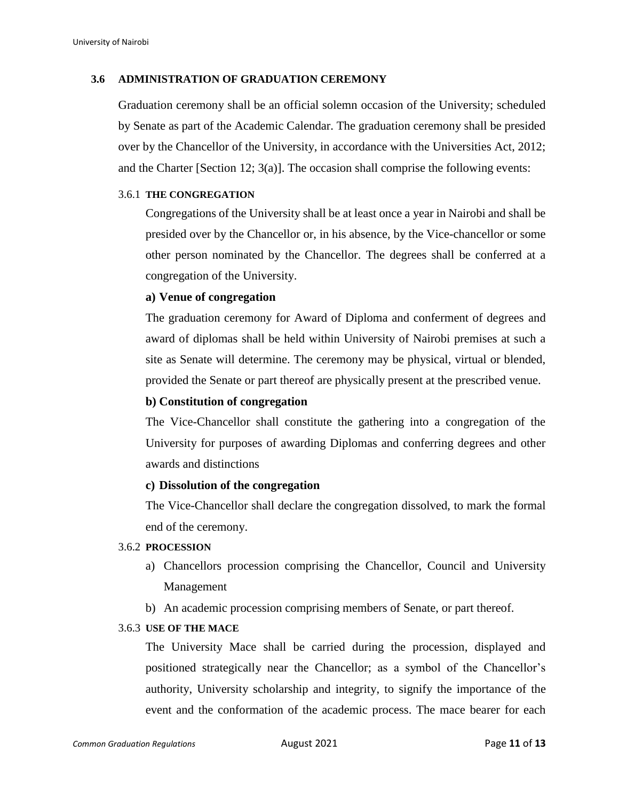#### **3.6 ADMINISTRATION OF GRADUATION CEREMONY**

Graduation ceremony shall be an official solemn occasion of the University; scheduled by Senate as part of the Academic Calendar. The graduation ceremony shall be presided over by the Chancellor of the University, in accordance with the Universities Act, 2012; and the Charter [Section 12; 3(a)]. The occasion shall comprise the following events:

#### 3.6.1 **THE CONGREGATION**

Congregations of the University shall be at least once a year in Nairobi and shall be presided over by the Chancellor or, in his absence, by the Vice-chancellor or some other person nominated by the Chancellor. The degrees shall be conferred at a congregation of the University.

#### **a) Venue of congregation**

The graduation ceremony for Award of Diploma and conferment of degrees and award of diplomas shall be held within University of Nairobi premises at such a site as Senate will determine. The ceremony may be physical, virtual or blended, provided the Senate or part thereof are physically present at the prescribed venue.

### **b) Constitution of congregation**

The Vice-Chancellor shall constitute the gathering into a congregation of the University for purposes of awarding Diplomas and conferring degrees and other awards and distinctions

#### **c) Dissolution of the congregation**

The Vice-Chancellor shall declare the congregation dissolved, to mark the formal end of the ceremony.

#### 3.6.2 **PROCESSION**

- a) Chancellors procession comprising the Chancellor, Council and University Management
- b) An academic procession comprising members of Senate, or part thereof.

## 3.6.3 **USE OF THE MACE**

The University Mace shall be carried during the procession, displayed and positioned strategically near the Chancellor; as a symbol of the Chancellor's authority, University scholarship and integrity, to signify the importance of the event and the conformation of the academic process. The mace bearer for each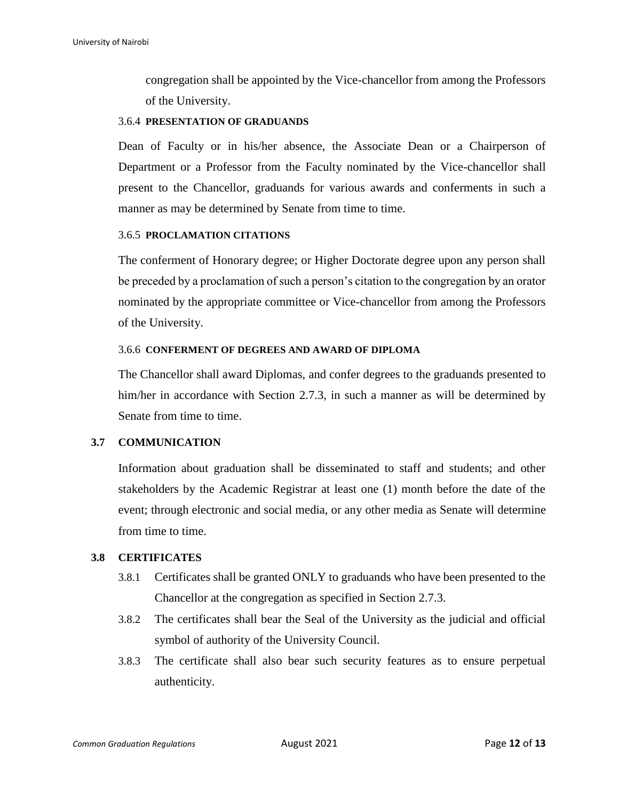congregation shall be appointed by the Vice-chancellor from among the Professors of the University.

#### 3.6.4 **PRESENTATION OF GRADUANDS**

Dean of Faculty or in his/her absence, the Associate Dean or a Chairperson of Department or a Professor from the Faculty nominated by the Vice-chancellor shall present to the Chancellor, graduands for various awards and conferments in such a manner as may be determined by Senate from time to time.

#### 3.6.5 **PROCLAMATION CITATIONS**

The conferment of Honorary degree; or Higher Doctorate degree upon any person shall be preceded by a proclamation of such a person's citation to the congregation by an orator nominated by the appropriate committee or Vice-chancellor from among the Professors of the University.

#### 3.6.6 **CONFERMENT OF DEGREES AND AWARD OF DIPLOMA**

The Chancellor shall award Diplomas, and confer degrees to the graduands presented to him/her in accordance with Section 2.7.3, in such a manner as will be determined by Senate from time to time.

#### **3.7 COMMUNICATION**

Information about graduation shall be disseminated to staff and students; and other stakeholders by the Academic Registrar at least one (1) month before the date of the event; through electronic and social media, or any other media as Senate will determine from time to time.

#### **3.8 CERTIFICATES**

- 3.8.1 Certificates shall be granted ONLY to graduands who have been presented to the Chancellor at the congregation as specified in Section 2.7.3.
- 3.8.2 The certificates shall bear the Seal of the University as the judicial and official symbol of authority of the University Council.
- 3.8.3 The certificate shall also bear such security features as to ensure perpetual authenticity.